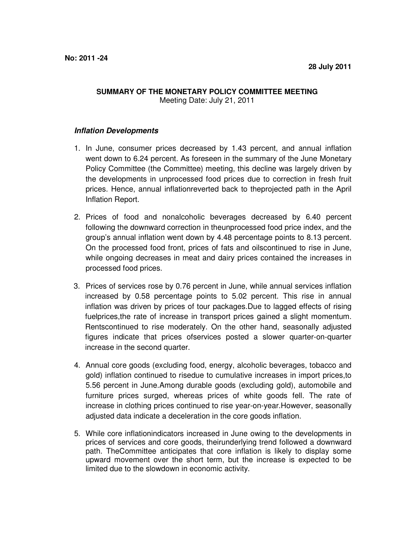## **SUMMARY OF THE MONETARY POLICY COMMITTEE MEETING** Meeting Date: July 21, 2011

## **Inflation Developments**

- 1. In June, consumer prices decreased by 1.43 percent, and annual inflation went down to 6.24 percent. As foreseen in the summary of the June Monetary Policy Committee (the Committee) meeting, this decline was largely driven by the developments in unprocessed food prices due to correction in fresh fruit prices. Hence, annual inflationreverted back to theprojected path in the April Inflation Report.
- 2. Prices of food and nonalcoholic beverages decreased by 6.40 percent following the downward correction in theunprocessed food price index, and the group's annual inflation went down by 4.48 percentage points to 8.13 percent. On the processed food front, prices of fats and oilscontinued to rise in June, while ongoing decreases in meat and dairy prices contained the increases in processed food prices.
- 3. Prices of services rose by 0.76 percent in June, while annual services inflation increased by 0.58 percentage points to 5.02 percent. This rise in annual inflation was driven by prices of tour packages.Due to lagged effects of rising fuelprices,the rate of increase in transport prices gained a slight momentum. Rentscontinued to rise moderately. On the other hand, seasonally adjusted figures indicate that prices ofservices posted a slower quarter-on-quarter increase in the second quarter.
- 4. Annual core goods (excluding food, energy, alcoholic beverages, tobacco and gold) inflation continued to risedue to cumulative increases in import prices,to 5.56 percent in June.Among durable goods (excluding gold), automobile and furniture prices surged, whereas prices of white goods fell. The rate of increase in clothing prices continued to rise year-on-year.However, seasonally adjusted data indicate a deceleration in the core goods inflation.
- 5. While core inflationindicators increased in June owing to the developments in prices of services and core goods, theirunderlying trend followed a downward path. TheCommittee anticipates that core inflation is likely to display some upward movement over the short term, but the increase is expected to be limited due to the slowdown in economic activity.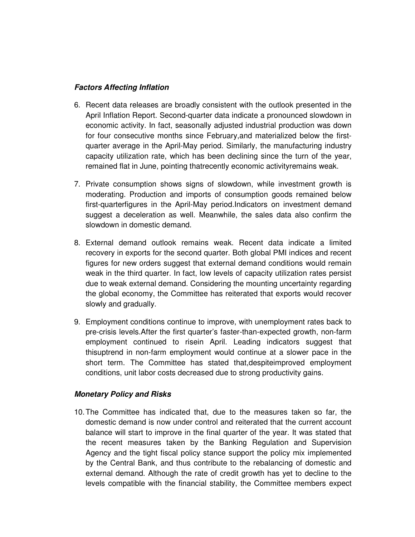## **Factors Affecting Inflation**

- 6. Recent data releases are broadly consistent with the outlook presented in the April Inflation Report. Second-quarter data indicate a pronounced slowdown in economic activity. In fact, seasonally adjusted industrial production was down for four consecutive months since February,and materialized below the firstquarter average in the April-May period. Similarly, the manufacturing industry capacity utilization rate, which has been declining since the turn of the year, remained flat in June, pointing thatrecently economic activityremains weak.
- 7. Private consumption shows signs of slowdown, while investment growth is moderating. Production and imports of consumption goods remained below first-quarterfigures in the April-May period.Indicators on investment demand suggest a deceleration as well. Meanwhile, the sales data also confirm the slowdown in domestic demand.
- 8. External demand outlook remains weak. Recent data indicate a limited recovery in exports for the second quarter. Both global PMI indices and recent figures for new orders suggest that external demand conditions would remain weak in the third quarter. In fact, low levels of capacity utilization rates persist due to weak external demand. Considering the mounting uncertainty regarding the global economy, the Committee has reiterated that exports would recover slowly and gradually.
- 9. Employment conditions continue to improve, with unemployment rates back to pre-crisis levels.After the first quarter's faster-than-expected growth, non-farm employment continued to risein April. Leading indicators suggest that thisuptrend in non-farm employment would continue at a slower pace in the short term. The Committee has stated that,despiteimproved employment conditions, unit labor costs decreased due to strong productivity gains.

## **Monetary Policy and Risks**

10. The Committee has indicated that, due to the measures taken so far, the domestic demand is now under control and reiterated that the current account balance will start to improve in the final quarter of the year. It was stated that the recent measures taken by the Banking Regulation and Supervision Agency and the tight fiscal policy stance support the policy mix implemented by the Central Bank, and thus contribute to the rebalancing of domestic and external demand. Although the rate of credit growth has yet to decline to the levels compatible with the financial stability, the Committee members expect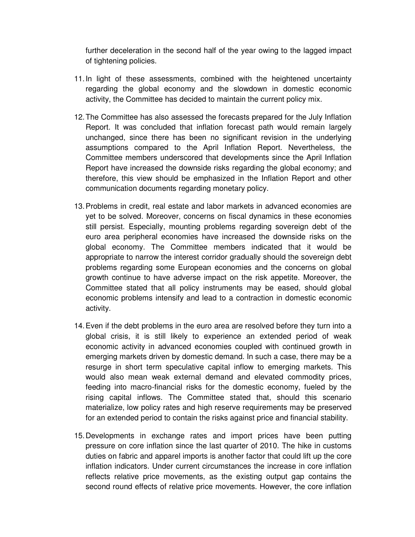further deceleration in the second half of the year owing to the lagged impact of tightening policies.

- 11. In light of these assessments, combined with the heightened uncertainty regarding the global economy and the slowdown in domestic economic activity, the Committee has decided to maintain the current policy mix.
- 12. The Committee has also assessed the forecasts prepared for the July Inflation Report. It was concluded that inflation forecast path would remain largely unchanged, since there has been no significant revision in the underlying assumptions compared to the April Inflation Report. Nevertheless, the Committee members underscored that developments since the April Inflation Report have increased the downside risks regarding the global economy; and therefore, this view should be emphasized in the Inflation Report and other communication documents regarding monetary policy.
- 13. Problems in credit, real estate and labor markets in advanced economies are yet to be solved. Moreover, concerns on fiscal dynamics in these economies still persist. Especially, mounting problems regarding sovereign debt of the euro area peripheral economies have increased the downside risks on the global economy. The Committee members indicated that it would be appropriate to narrow the interest corridor gradually should the sovereign debt problems regarding some European economies and the concerns on global growth continue to have adverse impact on the risk appetite. Moreover, the Committee stated that all policy instruments may be eased, should global economic problems intensify and lead to a contraction in domestic economic activity.
- 14. Even if the debt problems in the euro area are resolved before they turn into a global crisis, it is still likely to experience an extended period of weak economic activity in advanced economies coupled with continued growth in emerging markets driven by domestic demand. In such a case, there may be a resurge in short term speculative capital inflow to emerging markets. This would also mean weak external demand and elevated commodity prices, feeding into macro-financial risks for the domestic economy, fueled by the rising capital inflows. The Committee stated that, should this scenario materialize, low policy rates and high reserve requirements may be preserved for an extended period to contain the risks against price and financial stability.
- 15. Developments in exchange rates and import prices have been putting pressure on core inflation since the last quarter of 2010. The hike in customs duties on fabric and apparel imports is another factor that could lift up the core inflation indicators. Under current circumstances the increase in core inflation reflects relative price movements, as the existing output gap contains the second round effects of relative price movements. However, the core inflation